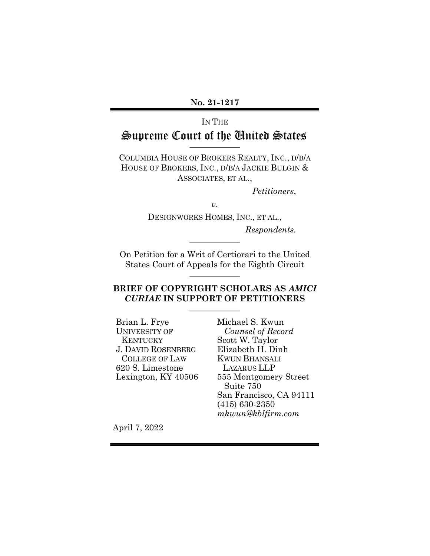#### **No. 21-1217**

# IN THE

## Supreme Court of the United States

COLUMBIA HOUSE OF BROKERS REALTY, INC., D/B/A HOUSE OF BROKERS, INC., D/B/A JACKIE BULGIN & ASSOCIATES, ET AL.,

*Petitioners*,

*v.*

DESIGNWORKS HOMES, INC., ET AL., *Respondents.*

On Petition for a Writ of Certiorari to the United States Court of Appeals for the Eighth Circuit

## **BRIEF OF COPYRIGHT SCHOLARS AS** *AMICI CURIAE* **IN SUPPORT OF PETITIONERS**

Brian L. Frye UNIVERSITY OF **KENTUCKY** J. DAVID ROSENBERG COLLEGE OF LAW 620 S. Limestone Lexington, KY 40506 Michael S. Kwun  *Counsel of Record* Scott W. Taylor Elizabeth H. Dinh KWUN BHANSALI LAZARUS LLP 555 Montgomery Street Suite 750 San Francisco, CA 94111 (415) 630-2350 *mkwun@kblfirm.com*

April 7, 2022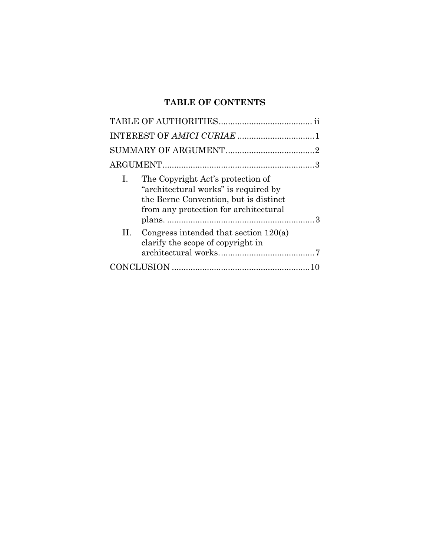## **TABLE OF CONTENTS**

| Ι. | The Copyright Act's protection of<br>"architectural works" is required by<br>the Berne Convention, but is distinct<br>from any protection for architectural |  |
|----|-------------------------------------------------------------------------------------------------------------------------------------------------------------|--|
| H. | Congress intended that section $120(a)$<br>clarify the scope of copyright in                                                                                |  |
|    |                                                                                                                                                             |  |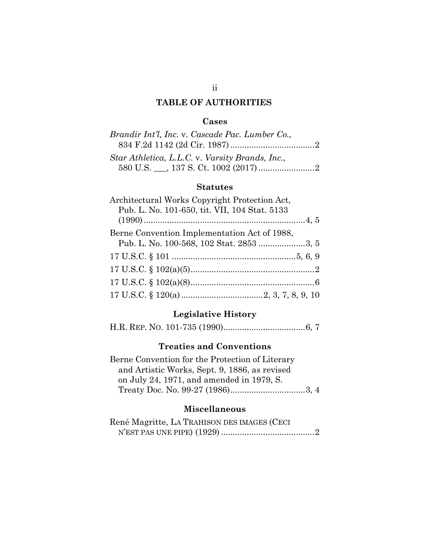## **TABLE OF AUTHORITIES**

## <span id="page-2-0"></span>**Cases**

| Brandir Int'l, Inc. v. Cascade Pac. Lumber Co., |  |
|-------------------------------------------------|--|
|                                                 |  |
| Star Athletica, L.L.C. v. Varsity Brands, Inc., |  |
|                                                 |  |

## **Statutes**

| Architectural Works Copyright Protection Act,<br>Pub. L. No. 101-650, tit. VII, 104 Stat. 5133 |  |
|------------------------------------------------------------------------------------------------|--|
|                                                                                                |  |
| Berne Convention Implementation Act of 1988,                                                   |  |
| Pub. L. No. 100-568, 102 Stat. 2853 3, 5                                                       |  |
|                                                                                                |  |
|                                                                                                |  |
|                                                                                                |  |
|                                                                                                |  |

## **Legislative History**

H.R. REP. NO. 101-735 (1990)...................................6, 7

## **Treaties and Conventions**

| Berne Convention for the Protection of Literary |  |
|-------------------------------------------------|--|
| and Artistic Works, Sept. 9, 1886, as revised   |  |
| on July 24, 1971, and amended in 1979, S.       |  |
|                                                 |  |

## **Miscellaneous**

| René Magritte, LA TRAHISON DES IMAGES (CECI |  |
|---------------------------------------------|--|
|                                             |  |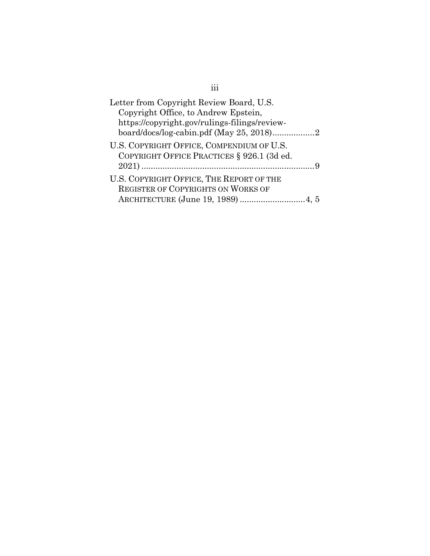| Letter from Copyright Review Board, U.S.      |  |
|-----------------------------------------------|--|
| Copyright Office, to Andrew Epstein,          |  |
| https://copyright.gov/rulings-filings/review- |  |
|                                               |  |
| U.S. COPYRIGHT OFFICE, COMPENDIUM OF U.S.     |  |
| COPYRIGHT OFFICE PRACTICES § 926.1 (3d ed.    |  |
|                                               |  |
| U.S. COPYRIGHT OFFICE, THE REPORT OF THE      |  |
| <b>REGISTER OF COPYRIGHTS ON WORKS OF</b>     |  |
|                                               |  |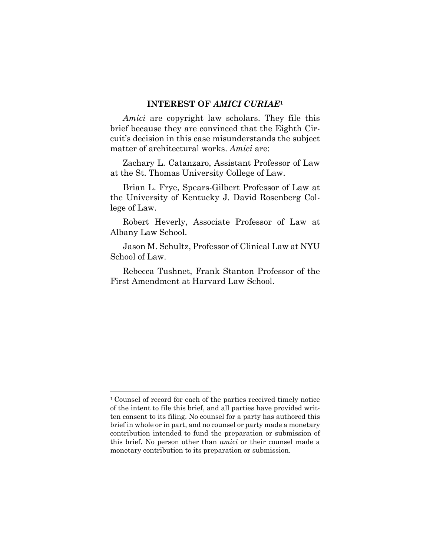#### <span id="page-4-0"></span>**INTEREST OF** *AMICI CURIAE***<sup>1</sup>**

*Amici* are copyright law scholars. They file this brief because they are convinced that the Eighth Circuit's decision in this case misunderstands the subject matter of architectural works. *Amici* are:

Zachary L. Catanzaro, Assistant Professor of Law at the St. Thomas University College of Law.

Brian L. Frye, Spears-Gilbert Professor of Law at the University of Kentucky J. David Rosenberg College of Law.

Robert Heverly, Associate Professor of Law at Albany Law School.

Jason M. Schultz, Professor of Clinical Law at NYU School of Law.

Rebecca Tushnet, Frank Stanton Professor of the First Amendment at Harvard Law School.

<sup>1</sup> Counsel of record for each of the parties received timely notice of the intent to file this brief, and all parties have provided written consent to its filing. No counsel for a party has authored this brief in whole or in part, and no counsel or party made a monetary contribution intended to fund the preparation or submission of this brief. No person other than *amici* or their counsel made a monetary contribution to its preparation or submission.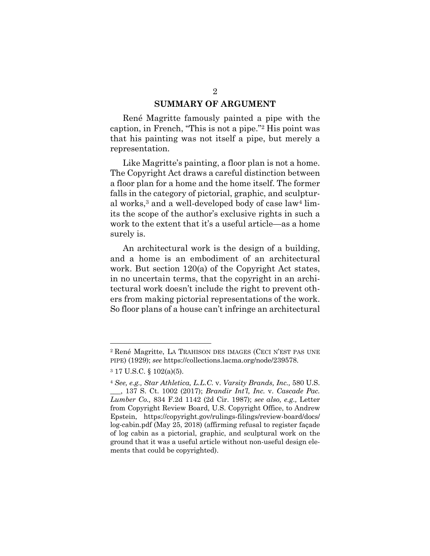#### <span id="page-5-0"></span>**SUMMARY OF ARGUMENT**

René Magritte famously painted a pipe with the caption, in French, "This is not a pipe."2 His point was that his painting was not itself a pipe, but merely a representation.

Like Magritte's painting, a floor plan is not a home. The Copyright Act draws a careful distinction between a floor plan for a home and the home itself. The former falls in the category of pictorial, graphic, and sculptural works,<sup>3</sup> and a well-developed body of case law<sup>4</sup> limits the scope of the author's exclusive rights in such a work to the extent that it's a useful article—as a home surely is.

An architectural work is the design of a building, and a home is an embodiment of an architectural work. But section 120(a) of the Copyright Act states, in no uncertain terms, that the copyright in an architectural work doesn't include the right to prevent others from making pictorial representations of the work. So floor plans of a house can't infringe an architectural

<sup>2</sup> René Magritte, LA TRAHISON DES IMAGES (CECI N'EST PAS UNE PIPE) (1929); *see* https://collections.lacma.org/node/239578.

<sup>3</sup> 17 U.S.C. § 102(a)(5).

<sup>4</sup> *See, e.g., Star Athletica, L.L.C.* v. *Varsity Brands, Inc.,* 580 U.S. \_\_\_, 137 S. Ct. 1002 (2017); *Brandir Int'l, Inc.* v. *Cascade Pac. Lumber Co.,* 834 F.2d 1142 (2d Cir. 1987); *see also, e.g.,* Letter from Copyright Review Board, U.S. Copyright Office, to Andrew [Epstein, https://copyright.gov/rulings-filings/review-board/docs/](https://copyright.gov/rulings-filings/review-board/docs/log-cabin.pdf) log-cabin.pdf (May 25, 2018) (affirming refusal to register façade of log cabin as a pictorial, graphic, and sculptural work on the ground that it was a useful article without non-useful design elements that could be copyrighted).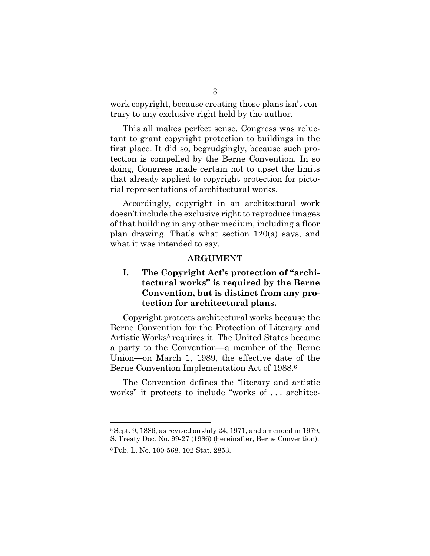work copyright, because creating those plans isn't contrary to any exclusive right held by the author.

This all makes perfect sense. Congress was reluctant to grant copyright protection to buildings in the first place. It did so, begrudgingly, because such protection is compelled by the Berne Convention. In so doing, Congress made certain not to upset the limits that already applied to copyright protection for pictorial representations of architectural works.

Accordingly, copyright in an architectural work doesn't include the exclusive right to reproduce images of that building in any other medium, including a floor plan drawing. That's what section 120(a) says, and what it was intended to say.

#### <span id="page-6-1"></span><span id="page-6-0"></span>**ARGUMENT**

## **I. The Copyright Act's protection of "architectural works" is required by the Berne Convention, but is distinct from any protection for architectural plans.**

Copyright protects architectural works because the Berne Convention for the Protection of Literary and Artistic Works<sup>5</sup> requires it. The United States became a party to the Convention—a member of the Berne Union—on March 1, 1989, the effective date of the Berne Convention Implementation Act of 1988.6

The Convention defines the "literary and artistic works" it protects to include "works of . . . architec-

<sup>5</sup>Sept. 9, 1886, as revised on July 24, 1971, and amended in 1979, S. Treaty Doc. No. 99-27 (1986) (hereinafter, Berne Convention).

<sup>6</sup> Pub. L. No. 100-568, 102 Stat. 2853.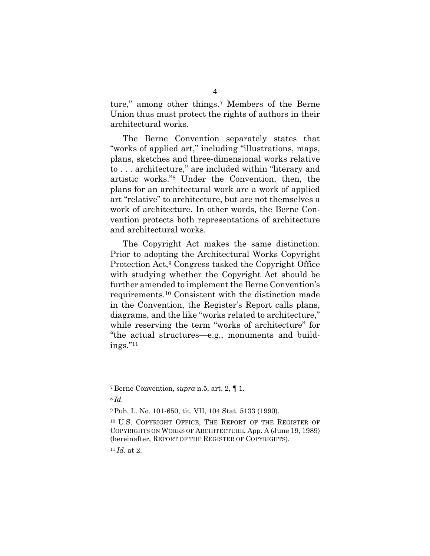ture," among other things.7 Members of the Berne Union thus must protect the rights of authors in their architectural works.

The Berne Convention separately states that "works of applied art," including "illustrations, maps, plans, sketches and three-dimensional works relative to . . . architecture," are included within "literary and artistic works."8 Under the Convention, then, the plans for an architectural work are a work of applied art "relative" to architecture, but are not themselves a work of architecture. In other words, the Berne Convention protects both representations of architecture and architectural works.

The Copyright Act makes the same distinction. Prior to adopting the Architectural Works Copyright Protection Act,<sup>9</sup> Congress tasked the Copyright Office with studying whether the Copyright Act should be further amended to implement the Berne Convention's requirements.10 Consistent with the distinction made in the Convention, the Register's Report calls plans, diagrams, and the like "works related to architecture," while reserving the term "works of architecture" for "the actual structures—e.g., monuments and buildings."11

<sup>7</sup> Berne Convention, *supra* n.5, art. 2, ¶ 1.

<sup>8</sup> *Id.*

<sup>9</sup> Pub. L. No. 101-650, tit. VII, 104 Stat. 5133 (1990).

<sup>10</sup> U.S. COPYRIGHT OFFICE, THE REPORT OF THE REGISTER OF COPYRIGHTS ON WORKS OF ARCHITECTURE, App. A (June 19, 1989) (hereinafter, REPORT OF THE REGISTER OF COPYRIGHTS).

<sup>11</sup> *Id.* at 2.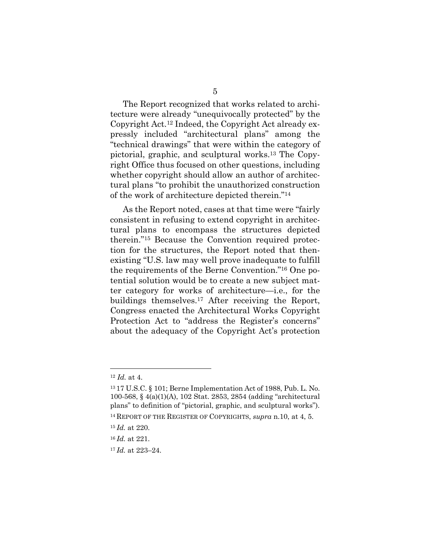The Report recognized that works related to architecture were already "unequivocally protected" by the Copyright Act.12 Indeed, the Copyright Act already expressly included "architectural plans" among the "technical drawings" that were within the category of pictorial, graphic, and sculptural works.13 The Copyright Office thus focused on other questions, including whether copyright should allow an author of architectural plans "to prohibit the unauthorized construction of the work of architecture depicted therein."14

As the Report noted, cases at that time were "fairly consistent in refusing to extend copyright in architectural plans to encompass the structures depicted therein."15 Because the Convention required protection for the structures, the Report noted that thenexisting "U.S. law may well prove inadequate to fulfill the requirements of the Berne Convention."16 One potential solution would be to create a new subject matter category for works of architecture—i.e., for the buildings themselves.17 After receiving the Report, Congress enacted the Architectural Works Copyright Protection Act to "address the Register's concerns" about the adequacy of the Copyright Act's protection

<sup>12</sup> *Id.* at 4.

<sup>13</sup> 17 U.S.C. § 101; Berne Implementation Act of 1988, Pub. L. No. 100-568, § 4(a)(1)(A), 102 Stat. 2853, 2854 (adding "architectural plans" to definition of "pictorial, graphic, and sculptural works").

<sup>14</sup> REPORT OF THE REGISTER OF COPYRIGHTS, *supra* n.10, at 4, 5.

<sup>15</sup> *Id.* at 220.

<sup>16</sup> *Id.* at 221.

<sup>17</sup> *Id.* at 223–24.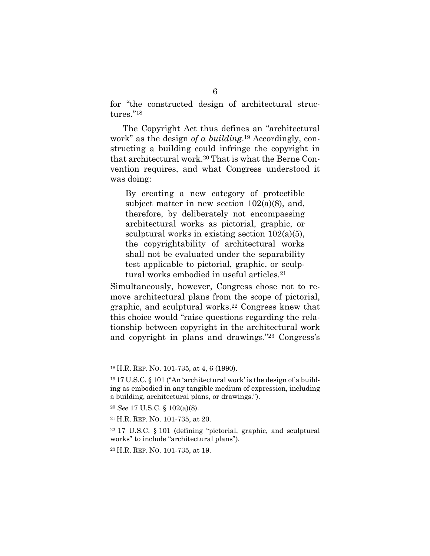for "the constructed design of architectural structures."18

The Copyright Act thus defines an "architectural work" as the design *of a building*.19 Accordingly, constructing a building could infringe the copyright in that architectural work.20 That is what the Berne Convention requires, and what Congress understood it was doing:

By creating a new category of protectible subject matter in new section  $102(a)(8)$ , and, therefore, by deliberately not encompassing architectural works as pictorial, graphic, or sculptural works in existing section 102(a)(5), the copyrightability of architectural works shall not be evaluated under the separability test applicable to pictorial, graphic, or sculptural works embodied in useful articles.21

Simultaneously, however, Congress chose not to remove architectural plans from the scope of pictorial, graphic, and sculptural works.22 Congress knew that this choice would "raise questions regarding the relationship between copyright in the architectural work and copyright in plans and drawings."23 Congress's

<sup>18</sup> H.R. REP. NO. 101-735, at 4, 6 (1990).

<sup>19</sup> 17 U.S.C. § 101 ("An 'architectural work' is the design of a building as embodied in any tangible medium of expression, including a building, architectural plans, or drawings.").

<sup>20</sup> *See* 17 U.S.C. § 102(a)(8).

<sup>21</sup> H.R. REP. NO. 101-735, at 20.

<sup>22</sup> 17 U.S.C. § 101 (defining "pictorial, graphic, and sculptural works" to include "architectural plans").

<sup>23</sup> H.R. REP. NO. 101-735, at 19.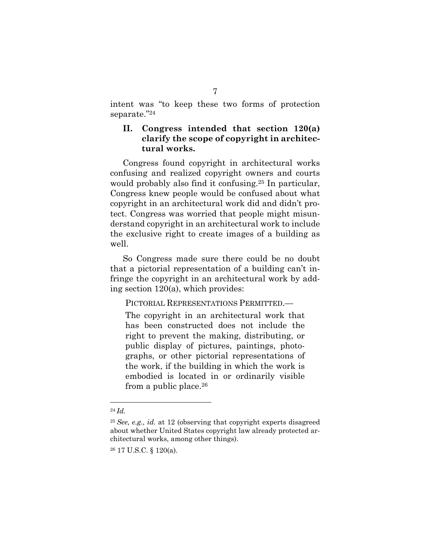intent was "to keep these two forms of protection separate."24

## <span id="page-10-0"></span>**II. Congress intended that section 120(a) clarify the scope of copyright in architectural works.**

Congress found copyright in architectural works confusing and realized copyright owners and courts would probably also find it confusing.25 In particular, Congress knew people would be confused about what copyright in an architectural work did and didn't protect. Congress was worried that people might misunderstand copyright in an architectural work to include the exclusive right to create images of a building as well.

So Congress made sure there could be no doubt that a pictorial representation of a building can't infringe the copyright in an architectural work by adding section 120(a), which provides:

PICTORIAL REPRESENTATIONS PERMITTED.—

The copyright in an architectural work that has been constructed does not include the right to prevent the making, distributing, or public display of pictures, paintings, photographs, or other pictorial representations of the work, if the building in which the work is embodied is located in or ordinarily visible from a public place.26

<sup>24</sup> *Id.*

<sup>25</sup> *See, e.g., id.* at 12 (observing that copyright experts disagreed about whether United States copyright law already protected architectural works, among other things).

<sup>26</sup> 17 U.S.C. § 120(a).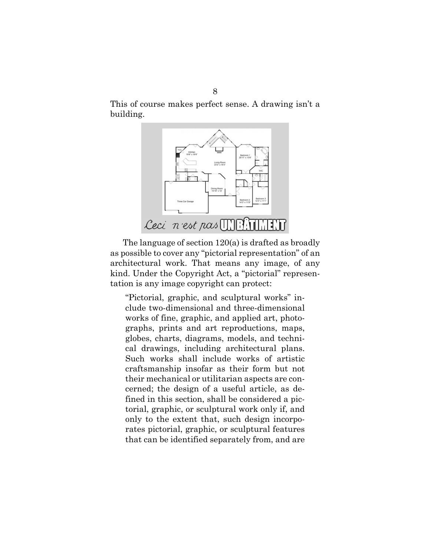This of course makes perfect sense. A drawing isn't a building.



The language of section 120(a) is drafted as broadly as possible to cover any "pictorial representation" of an architectural work. That means any image, of any kind. Under the Copyright Act, a "pictorial" representation is any image copyright can protect:

"Pictorial, graphic, and sculptural works" include two-dimensional and three-dimensional works of fine, graphic, and applied art, photographs, prints and art reproductions, maps, globes, charts, diagrams, models, and technical drawings, including architectural plans. Such works shall include works of artistic craftsmanship insofar as their form but not their mechanical or utilitarian aspects are concerned; the design of a useful article, as defined in this section, shall be considered a pictorial, graphic, or sculptural work only if, and only to the extent that, such design incorporates pictorial, graphic, or sculptural features that can be identified separately from, and are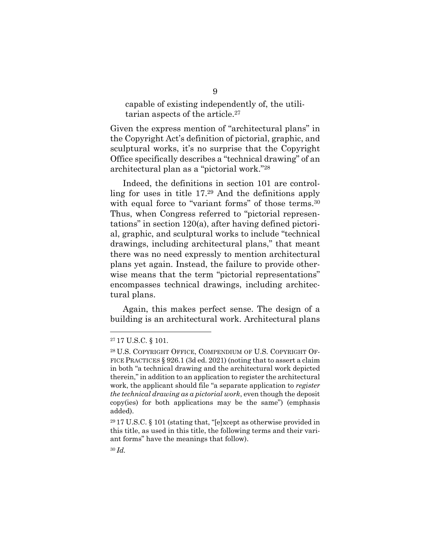capable of existing independently of, the utilitarian aspects of the article.27

Given the express mention of "architectural plans" in the Copyright Act's definition of pictorial, graphic, and sculptural works, it's no surprise that the Copyright Office specifically describes a "technical drawing" of an architectural plan as a "pictorial work."28

Indeed, the definitions in section 101 are controlling for uses in title 17.29 And the definitions apply with equal force to "variant forms" of those terms.<sup>30</sup> Thus, when Congress referred to "pictorial representations" in section 120(a), after having defined pictorial, graphic, and sculptural works to include "technical drawings, including architectural plans," that meant there was no need expressly to mention architectural plans yet again. Instead, the failure to provide otherwise means that the term "pictorial representations" encompasses technical drawings, including architectural plans.

Again, this makes perfect sense. The design of a building is an architectural work. Architectural plans

<sup>27</sup> 17 U.S.C. § 101.

<sup>28</sup> U.S. COPYRIGHT OFFICE, COMPENDIUM OF U.S. COPYRIGHT OF-FICE PRACTICES § 926.1 (3d ed. 2021) (noting that to assert a claim in both "a technical drawing and the architectural work depicted therein," in addition to an application to register the architectural work, the applicant should file "a separate application to *register the technical drawing as a pictorial work*, even though the deposit copy(ies) for both applications may be the same") (emphasis added).

<sup>29</sup> 17 U.S.C. § 101 (stating that, "[e]xcept as otherwise provided in this title, as used in this title, the following terms and their variant forms" have the meanings that follow).

<sup>30</sup> *Id.*